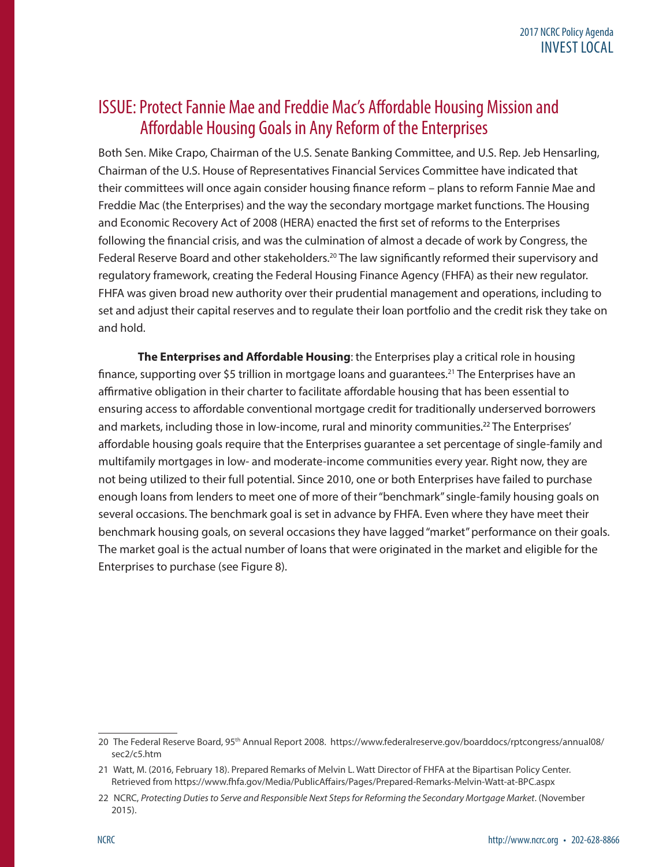# ISSUE: Protect Fannie Mae and Freddie Mac's Affordable Housing Mission and Affordable Housing Goals in Any Reform of the Enterprises

Both Sen. Mike Crapo, Chairman of the U.S. Senate Banking Committee, and U.S. Rep. Jeb Hensarling, Chairman of the U.S. House of Representatives Financial Services Committee have indicated that their committees will once again consider housing finance reform – plans to reform Fannie Mae and Freddie Mac (the Enterprises) and the way the secondary mortgage market functions. The Housing and Economic Recovery Act of 2008 (HERA) enacted the first set of reforms to the Enterprises following the financial crisis, and was the culmination of almost a decade of work by Congress, the Federal Reserve Board and other stakeholders.<sup>20</sup> The law significantly reformed their supervisory and regulatory framework, creating the Federal Housing Finance Agency (FHFA) as their new regulator. FHFA was given broad new authority over their prudential management and operations, including to set and adjust their capital reserves and to regulate their loan portfolio and the credit risk they take on and hold.

**The Enterprises and Affordable Housing**: the Enterprises play a critical role in housing finance, supporting over \$5 trillion in mortgage loans and guarantees.<sup>21</sup> The Enterprises have an affirmative obligation in their charter to facilitate affordable housing that has been essential to ensuring access to affordable conventional mortgage credit for traditionally underserved borrowers and markets, including those in low-income, rural and minority communities. <sup>22</sup> The Enterprises' affordable housing goals require that the Enterprises guarantee a set percentage of single-family and multifamily mortgages in low- and moderate-income communities every year. Right now, they are not being utilized to their full potential. Since 2010, one or both Enterprises have failed to purchase enough loans from lenders to meet one of more of their "benchmark" single-family housing goals on several occasions. The benchmark goal is set in advance by FHFA. Even where they have meet their benchmark housing goals, on several occasions they have lagged "market" performance on their goals. The market goal is the actual number of loans that were originated in the market and eligible for the Enterprises to purchase (see Figure 8).

<sup>20</sup> The Federal Reserve Board, 95th Annual Report 2008. https://www.federalreserve.gov/boarddocs/rptcongress/annual08/ sec2/c5.htm

<sup>21</sup> Watt, M. (2016, February 18). Prepared Remarks of Melvin L. Watt Director of FHFA at the Bipartisan Policy Center. Retrieved from https://www.fhfa.gov/Media/PublicAffairs/Pages/Prepared-Remarks-Melvin-Watt-at-BPC.aspx

<sup>22</sup> NCRC, *Protecting Duties to Serve and Responsible Next Steps for Reforming the Secondary Mortgage Market*. (November 2015).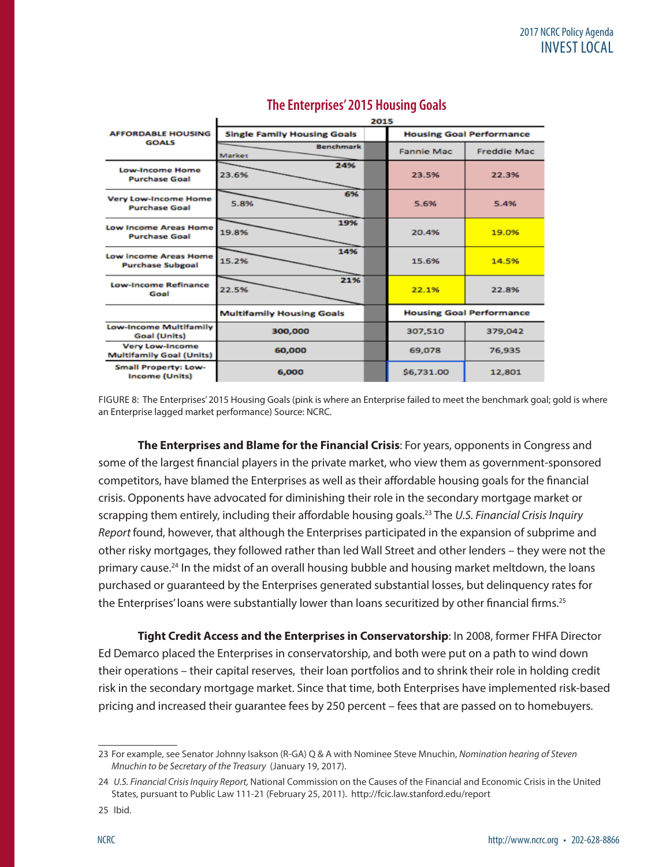| <b>AFFORDABLE HOUSING</b>                                 | <b>Single Family Housing Goals</b> | <b>Housing Goal Performance</b> |                                 |                    |  |  |  |  |
|-----------------------------------------------------------|------------------------------------|---------------------------------|---------------------------------|--------------------|--|--|--|--|
| <b>GOALS</b>                                              | <b>Benchmark</b><br>Market         |                                 | <b>Fannie Mac</b>               | <b>Freddie Mac</b> |  |  |  |  |
| <b>Low-Income Home</b><br><b>Purchase Goal</b>            | 24%<br>23.6%                       |                                 | 23.5%                           | 22.3%              |  |  |  |  |
| <b>Very Low-Income Home</b><br><b>Purchase Goal</b>       | 6%<br>5.8%                         |                                 | 5.6%                            | 5.4%               |  |  |  |  |
| <b>Low Income Areas Home</b><br><b>Purchase Goal</b>      | 19%<br>19.8%                       |                                 | 20.4%                           | 19.0%              |  |  |  |  |
| <b>Low Income Areas Home</b><br><b>Purchase Subgoal</b>   | 14%<br>15.2%                       |                                 | 15.6%                           | 14.5%              |  |  |  |  |
| <b>Low-Income Refinance</b><br>Goal                       | 21%<br>22.5%                       |                                 | 22.1%                           | 22.8%              |  |  |  |  |
|                                                           | <b>Multifamily Housing Goals</b>   |                                 | <b>Housing Goal Performance</b> |                    |  |  |  |  |
| <b>Low-Income Multifamily</b><br>Goal (Units)             | 300,000                            |                                 | 307,510                         | 379,042            |  |  |  |  |
| <b>Very Low-Income</b><br><b>Multifamily Goal (Units)</b> | 60,000                             |                                 | 69,078                          | 76,935             |  |  |  |  |
| <b>Small Property: Low-</b><br><b>Income (Units)</b>      | 6,000                              |                                 | \$6,731.00                      | 12,801             |  |  |  |  |

 $\blacksquare$ 

### **The Enterprises' 2015 Housing Goals**

 $2015$ 

FIGURE 8: The Enterprises' 2015 Housing Goals (pink is where an Enterprise failed to meet the benchmark goal; gold is where an Enterprise lagged market performance) Source: NCRC.

**The Enterprises and Blame for the Financial Crisis**: For years, opponents in Congress and some of the largest financial players in the private market, who view them as government-sponsored competitors, have blamed the Enterprises as well as their affordable housing goals for the financial crisis. Opponents have advocated for diminishing their role in the secondary mortgage market or scrapping them entirely, including their affordable housing goals.23 The *U.S. Financial Crisis Inquiry Report* found, however, that although the Enterprises participated in the expansion of subprime and other risky mortgages, they followed rather than led Wall Street and other lenders – they were not the primary cause.<sup>24</sup> In the midst of an overall housing bubble and housing market meltdown, the loans purchased or guaranteed by the Enterprises generated substantial losses, but delinquency rates for the Enterprises' loans were substantially lower than loans securitized by other financial firms.<sup>25</sup>

**Tight Credit Access and the Enterprises in Conservatorship**: In 2008, former FHFA Director Ed Demarco placed the Enterprises in conservatorship, and both were put on a path to wind down their operations – their capital reserves, their loan portfolios and to shrink their role in holding credit risk in the secondary mortgage market. Since that time, both Enterprises have implemented risk-based pricing and increased their guarantee fees by 250 percent – fees that are passed on to homebuyers.

<sup>23</sup> For example, see Senator Johnny Isakson (R-GA) Q & A with Nominee Steve Mnuchin, *Nomination hearing of Steven Mnuchin to be Secretary of the Treasury* (January 19, 2017).

<sup>24</sup> *U.S. Financial Crisis Inquiry Report,* National Commission on the Causes of the Financial and Economic Crisis in the United States, pursuant to Public Law 111-21 (February 25, 2011). http://fcic.law.stanford.edu/report

<sup>25</sup> Ibid.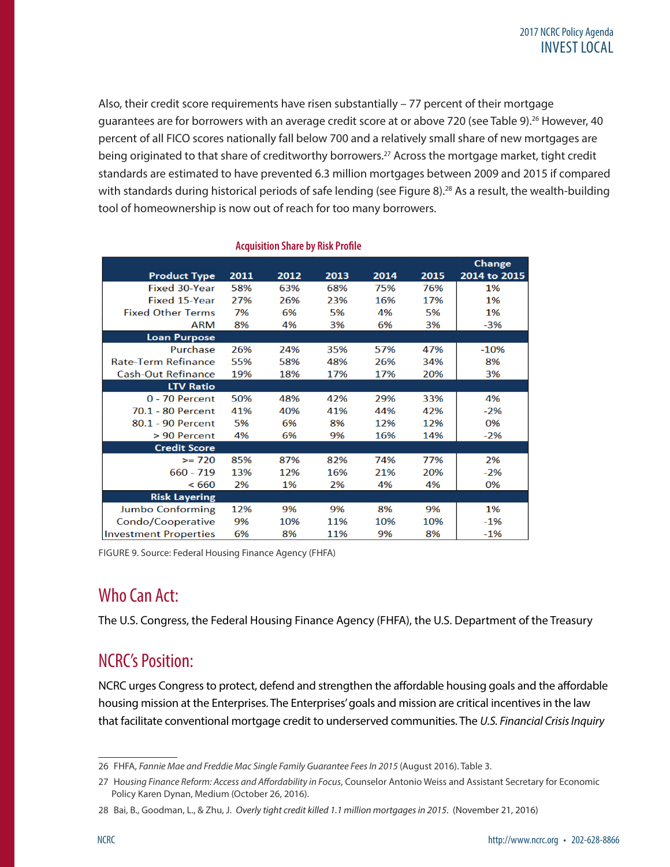Also, their credit score requirements have risen substantially – 77 percent of their mortgage guarantees are for borrowers with an average credit score at or above 720 (see Table 9).<sup>26</sup> However, 40 percent of all FICO scores nationally fall below 700 and a relatively small share of new mortgages are being originated to that share of creditworthy borrowers.<sup>27</sup> Across the mortgage market, tight credit standards are estimated to have prevented 6.3 million mortgages between 2009 and 2015 if compared with standards during historical periods of safe lending (see Figure 8).<sup>28</sup> As a result, the wealth-building tool of homeownership is now out of reach for too many borrowers.

|                              |      |      |      |      |      | <b>Change</b> |
|------------------------------|------|------|------|------|------|---------------|
| <b>Product Type</b>          | 2011 | 2012 | 2013 | 2014 | 2015 | 2014 to 2015  |
| <b>Fixed 30-Year</b>         | 58%  | 63%  | 68%  | 75%  | 76%  | 1%            |
| <b>Fixed 15-Year</b>         | 27%  | 26%  | 23%  | 16%  | 17%  | 1%            |
| <b>Fixed Other Terms</b>     | 7%   | 6%   | 5%   | 4%   | 5%   | 1%            |
| ARM                          | 8%   | 4%   | 3%   | 6%   | 3%   | $-3%$         |
| <b>Loan Purpose</b>          |      |      |      |      |      |               |
| Purchase                     | 26%  | 24%  | 35%  | 57%  | 47%  | $-10%$        |
| <b>Rate-Term Refinance</b>   | 55%  | 58%  | 48%  | 26%  | 34%  | 8%            |
| <b>Cash-Out Refinance</b>    | 19%  | 18%  | 17%  | 17%  | 20%  | 3%            |
| <b>LTV Ratio</b>             |      |      |      |      |      |               |
| $0 - 70$ Percent             | 50%  | 48%  | 42%  | 29%  | 33%  | 4%            |
| 70.1 - 80 Percent            | 41%  | 40%  | 41%  | 44%  | 42%  | $-2%$         |
| 80.1 - 90 Percent            | 5%   | 6%   | 8%   | 12%  | 12%  | 0%            |
| > 90 Percent                 | 4%   | 6%   | 9%   | 16%  | 14%  | $-2%$         |
| <b>Credit Score</b>          |      |      |      |      |      |               |
| $>= 720$                     | 85%  | 87%  | 82%  | 74%  | 77%  | 2%            |
| $660 - 719$                  | 13%  | 12%  | 16%  | 21%  | 20%  | $-2%$         |
| < 660                        | 2%   | 1%   | 2%   | 4%   | 4%   | 0%            |
| <b>Risk Layering</b>         |      |      |      |      |      |               |
| Jumbo Conforming             | 12%  | 9%   | 9%   | 8%   | 9%   | 1%            |
| Condo/Cooperative            | 9%   | 10%  | 11%  | 10%  | 10%  | $-1\%$        |
| <b>Investment Properties</b> | 6%   | 8%   | 11%  | 9%   | 8%   | $-1%$         |

#### **Acquisition Share by Risk Profile**

FIGURE 9. Source: Federal Housing Finance Agency (FHFA)

## Who Can Act:

The U.S. Congress, the Federal Housing Finance Agency (FHFA), the U.S. Department of the Treasury

## NCRC's Position:

NCRC urges Congress to protect, defend and strengthen the affordable housing goals and the affordable housing mission at the Enterprises. The Enterprises' goals and mission are critical incentives in the law that facilitate conventional mortgage credit to underserved communities. The *U.S. Financial Crisis Inquiry* 

<sup>26</sup> FHFA, Fannie Mae and Freddie Mac Single Family Guarantee Fees In 2015 (August 2016). Table 3.

<sup>27</sup> H*ousing Finance Reform: Access and Affordability in Focus*, Counselor Antonio Weiss and Assistant Secretary for Economic Policy Karen Dynan, Medium (October 26, 2016).

<sup>28</sup> Bai, B., Goodman, L., & Zhu, J. *Overly tight credit killed 1.1 million mortgages in 2015*. (November 21, 2016)